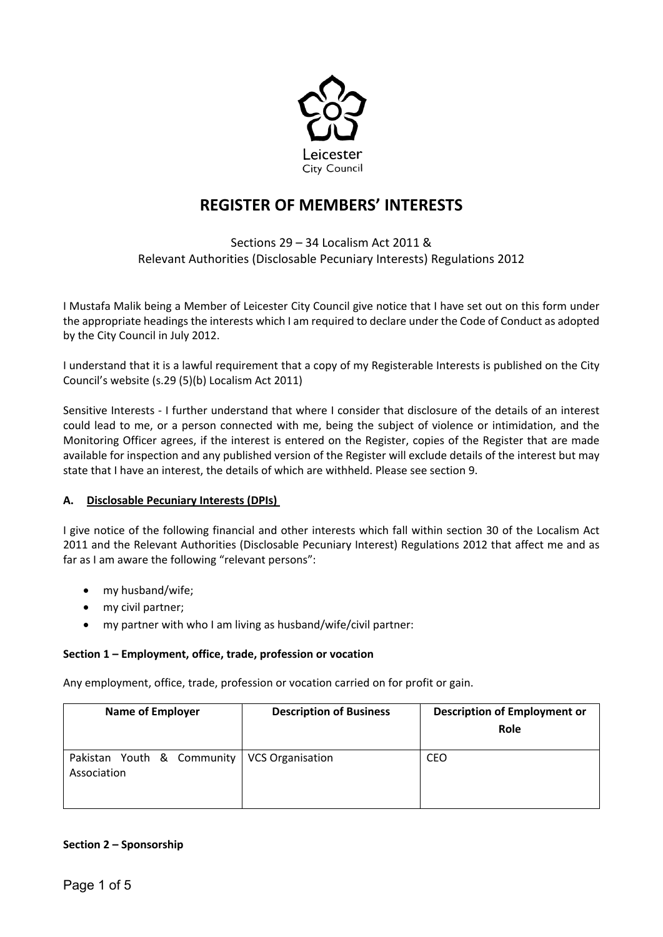

# **REGISTER OF MEMBERS' INTERESTS**

Sections 29 – 34 Localism Act 2011 & Relevant Authorities (Disclosable Pecuniary Interests) Regulations 2012

I Mustafa Malik being a Member of Leicester City Council give notice that I have set out on this form under the appropriate headings the interests which I am required to declare under the Code of Conduct as adopted by the City Council in July 2012.

I understand that it is a lawful requirement that a copy of my Registerable Interests is published on the City Council's website (s.29 (5)(b) Localism Act 2011)

Sensitive Interests - I further understand that where I consider that disclosure of the details of an interest could lead to me, or a person connected with me, being the subject of violence or intimidation, and the Monitoring Officer agrees, if the interest is entered on the Register, copies of the Register that are made available for inspection and any published version of the Register will exclude details of the interest but may state that I have an interest, the details of which are withheld. Please see section 9.

# **A. Disclosable Pecuniary Interests (DPIs)**

I give notice of the following financial and other interests which fall within section 30 of the Localism Act 2011 and the Relevant Authorities (Disclosable Pecuniary Interest) Regulations 2012 that affect me and as far as I am aware the following "relevant persons":

- my husband/wife;
- my civil partner;
- my partner with who I am living as husband/wife/civil partner:

## **Section 1 – Employment, office, trade, profession or vocation**

Any employment, office, trade, profession or vocation carried on for profit or gain.

| <b>Name of Employer</b>                                      | <b>Description of Business</b> | <b>Description of Employment or</b><br>Role |
|--------------------------------------------------------------|--------------------------------|---------------------------------------------|
| Pakistan Youth & Community   VCS Organisation<br>Association |                                | CEO                                         |

## **Section 2 – Sponsorship**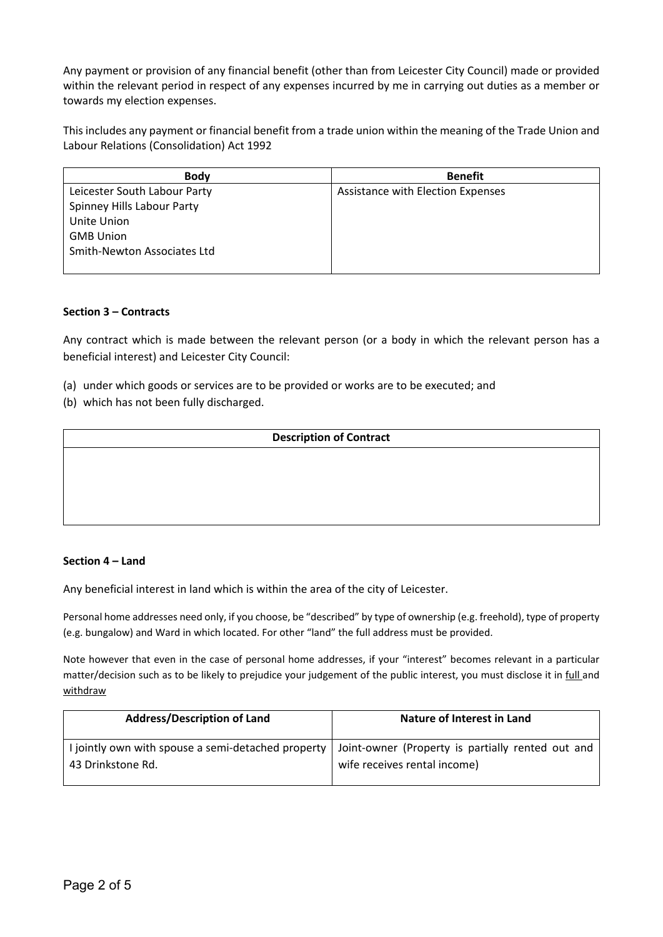Any payment or provision of any financial benefit (other than from Leicester City Council) made or provided within the relevant period in respect of any expenses incurred by me in carrying out duties as a member or towards my election expenses.

This includes any payment or financial benefit from a trade union within the meaning of the Trade Union and Labour Relations (Consolidation) Act 1992

| <b>Body</b>                  | <b>Benefit</b>                    |
|------------------------------|-----------------------------------|
| Leicester South Labour Party | Assistance with Election Expenses |
| Spinney Hills Labour Party   |                                   |
| Unite Union                  |                                   |
| <b>GMB Union</b>             |                                   |
| Smith-Newton Associates Ltd  |                                   |
|                              |                                   |

## **Section 3 – Contracts**

Any contract which is made between the relevant person (or a body in which the relevant person has a beneficial interest) and Leicester City Council:

- (a) under which goods or services are to be provided or works are to be executed; and
- (b) which has not been fully discharged.

## **Description of Contract**

## **Section 4 – Land**

Any beneficial interest in land which is within the area of the city of Leicester.

Personal home addresses need only, if you choose, be "described" by type of ownership (e.g. freehold), type of property (e.g. bungalow) and Ward in which located. For other "land" the full address must be provided.

Note however that even in the case of personal home addresses, if your "interest" becomes relevant in a particular matter/decision such as to be likely to prejudice your judgement of the public interest, you must disclose it in full and withdraw

| <b>Address/Description of Land</b>                                                                     | Nature of Interest in Land   |  |
|--------------------------------------------------------------------------------------------------------|------------------------------|--|
| I jointly own with spouse a semi-detached property   Joint-owner (Property is partially rented out and |                              |  |
| 43 Drinkstone Rd.                                                                                      | wife receives rental income) |  |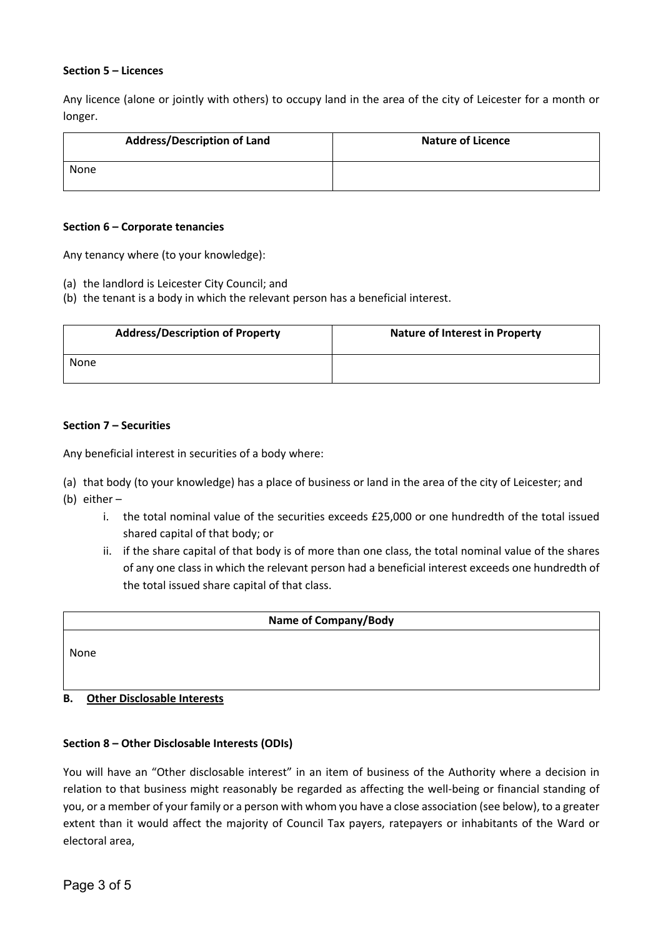## **Section 5 – Licences**

Any licence (alone or jointly with others) to occupy land in the area of the city of Leicester for a month or longer.

| <b>Address/Description of Land</b> | <b>Nature of Licence</b> |
|------------------------------------|--------------------------|
| None                               |                          |

## **Section 6 – Corporate tenancies**

Any tenancy where (to your knowledge):

- (a) the landlord is Leicester City Council; and
- (b) the tenant is a body in which the relevant person has a beneficial interest.

| <b>Address/Description of Property</b> | <b>Nature of Interest in Property</b> |  |
|----------------------------------------|---------------------------------------|--|
| None                                   |                                       |  |

## **Section 7 – Securities**

Any beneficial interest in securities of a body where:

- (a) that body (to your knowledge) has a place of business or land in the area of the city of Leicester; and
- (b) either
	- i. the total nominal value of the securities exceeds £25,000 or one hundredth of the total issued shared capital of that body; or
	- ii. if the share capital of that body is of more than one class, the total nominal value of the shares of any one class in which the relevant person had a beneficial interest exceeds one hundredth of the total issued share capital of that class.

## **Name of Company/Body**

None

# **B. Other Disclosable Interests**

## **Section 8 – Other Disclosable Interests (ODIs)**

You will have an "Other disclosable interest" in an item of business of the Authority where a decision in relation to that business might reasonably be regarded as affecting the well-being or financial standing of you, or a member of your family or a person with whom you have a close association (see below), to a greater extent than it would affect the majority of Council Tax payers, ratepayers or inhabitants of the Ward or electoral area,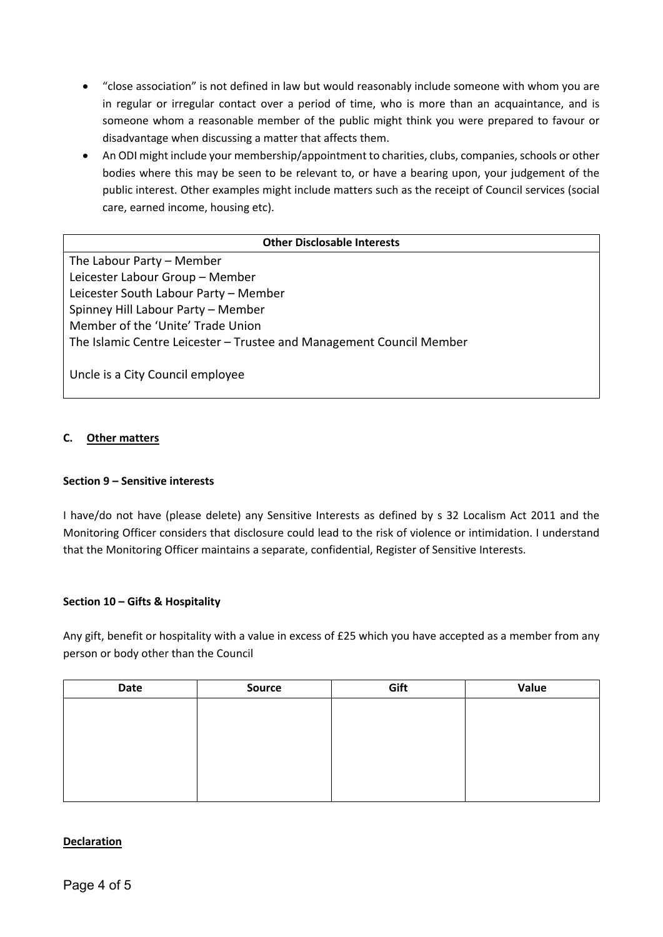- "close association" is not defined in law but would reasonably include someone with whom you are in regular or irregular contact over a period of time, who is more than an acquaintance, and is someone whom a reasonable member of the public might think you were prepared to favour or disadvantage when discussing a matter that affects them.
- An ODI might include your membership/appointment to charities, clubs, companies, schools or other bodies where this may be seen to be relevant to, or have a bearing upon, your judgement of the public interest. Other examples might include matters such as the receipt of Council services (social care, earned income, housing etc).

## **Other Disclosable Interests**

The Labour Party – Member Leicester Labour Group – Member Leicester South Labour Party – Member Spinney Hill Labour Party – Member Member of the 'Unite' Trade Union The Islamic Centre Leicester – Trustee and Management Council Member

Uncle is a City Council employee

## **C. Other matters**

## **Section 9 – Sensitive interests**

I have/do not have (please delete) any Sensitive Interests as defined by s 32 Localism Act 2011 and the Monitoring Officer considers that disclosure could lead to the risk of violence or intimidation. I understand that the Monitoring Officer maintains a separate, confidential, Register of Sensitive Interests.

## **Section 10 – Gifts & Hospitality**

Any gift, benefit or hospitality with a value in excess of £25 which you have accepted as a member from any person or body other than the Council

| Date | Source | Gift | Value |
|------|--------|------|-------|
|      |        |      |       |
|      |        |      |       |
|      |        |      |       |
|      |        |      |       |
|      |        |      |       |
|      |        |      |       |

# **Declaration**